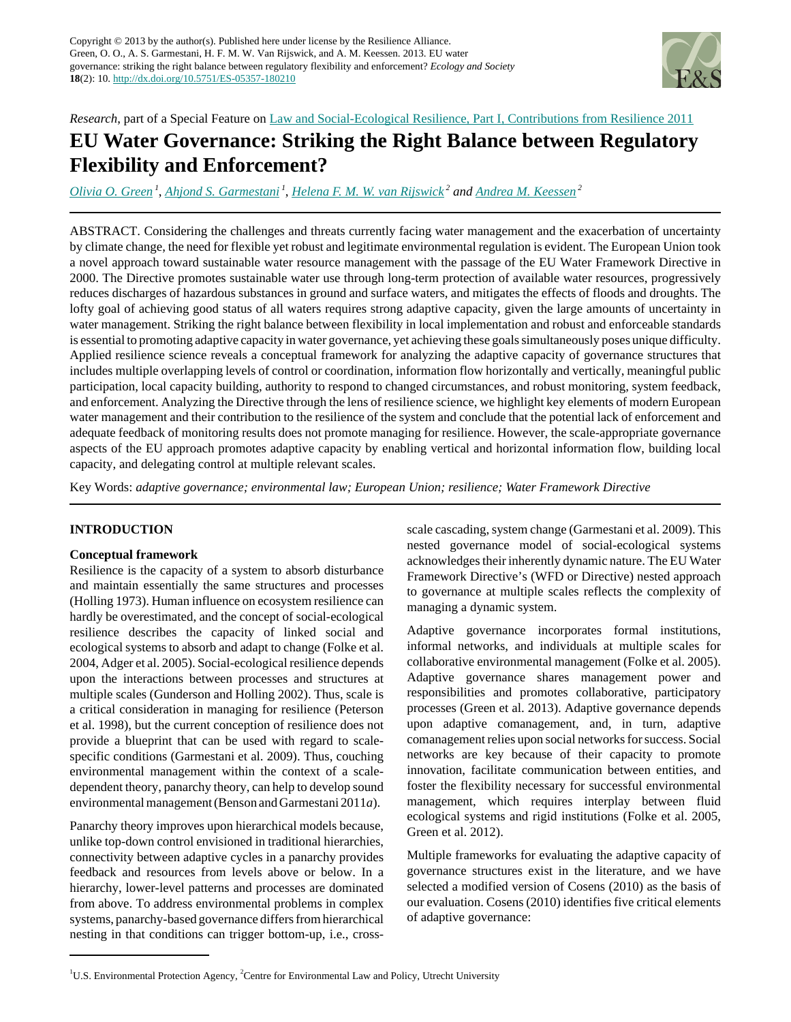

## *Research*, part of a Special Feature on [Law and Social-Ecological Resilience, Part I, Contributions from Resilience 2011](http://www.ecologyandsociety.org/viewissue.php?sf=78)

# **EU Water Governance: Striking the Right Balance between Regulatory Flexibility and Enforcement?**

*[Olivia O. Green](mailto:green.olivia@epa.gov)<sup>1</sup>* , *[Ahjond S. Garmestani](mailto:garmestani.ahjond@epa.gov)<sup>1</sup>* , *[Helena F. M. W. van Rijswick](mailto:H.vanRijswick@law.uu.nl)<sup>2</sup> and [Andrea M. Keessen](mailto:a.m.keessen@uu.nl)<sup>2</sup>*

ABSTRACT. Considering the challenges and threats currently facing water management and the exacerbation of uncertainty by climate change, the need for flexible yet robust and legitimate environmental regulation is evident. The European Union took a novel approach toward sustainable water resource management with the passage of the EU Water Framework Directive in 2000. The Directive promotes sustainable water use through long-term protection of available water resources, progressively reduces discharges of hazardous substances in ground and surface waters, and mitigates the effects of floods and droughts. The lofty goal of achieving good status of all waters requires strong adaptive capacity, given the large amounts of uncertainty in water management. Striking the right balance between flexibility in local implementation and robust and enforceable standards is essential to promoting adaptive capacity in water governance, yet achieving these goals simultaneously poses unique difficulty. Applied resilience science reveals a conceptual framework for analyzing the adaptive capacity of governance structures that includes multiple overlapping levels of control or coordination, information flow horizontally and vertically, meaningful public participation, local capacity building, authority to respond to changed circumstances, and robust monitoring, system feedback, and enforcement. Analyzing the Directive through the lens of resilience science, we highlight key elements of modern European water management and their contribution to the resilience of the system and conclude that the potential lack of enforcement and adequate feedback of monitoring results does not promote managing for resilience. However, the scale-appropriate governance aspects of the EU approach promotes adaptive capacity by enabling vertical and horizontal information flow, building local capacity, and delegating control at multiple relevant scales.

Key Words: *adaptive governance; environmental law; European Union; resilience; Water Framework Directive*

# **INTRODUCTION**

## **Conceptual framework**

Resilience is the capacity of a system to absorb disturbance and maintain essentially the same structures and processes (Holling 1973). Human influence on ecosystem resilience can hardly be overestimated, and the concept of social-ecological resilience describes the capacity of linked social and ecological systems to absorb and adapt to change (Folke et al. 2004, Adger et al. 2005). Social-ecological resilience depends upon the interactions between processes and structures at multiple scales (Gunderson and Holling 2002). Thus, scale is a critical consideration in managing for resilience (Peterson et al. 1998), but the current conception of resilience does not provide a blueprint that can be used with regard to scalespecific conditions (Garmestani et al. 2009). Thus, couching environmental management within the context of a scaledependent theory, panarchy theory, can help to develop sound environmental management (Benson and Garmestani 2011*a*).

Panarchy theory improves upon hierarchical models because, unlike top-down control envisioned in traditional hierarchies, connectivity between adaptive cycles in a panarchy provides feedback and resources from levels above or below. In a hierarchy, lower-level patterns and processes are dominated from above. To address environmental problems in complex systems, panarchy-based governance differs from hierarchical nesting in that conditions can trigger bottom-up, i.e., crossscale cascading, system change (Garmestani et al. 2009). This nested governance model of social-ecological systems acknowledges their inherently dynamic nature. The EU Water Framework Directive's (WFD or Directive) nested approach to governance at multiple scales reflects the complexity of managing a dynamic system.

Adaptive governance incorporates formal institutions, informal networks, and individuals at multiple scales for collaborative environmental management (Folke et al. 2005). Adaptive governance shares management power and responsibilities and promotes collaborative, participatory processes (Green et al. 2013). Adaptive governance depends upon adaptive comanagement, and, in turn, adaptive comanagement relies upon social networks for success. Social networks are key because of their capacity to promote innovation, facilitate communication between entities, and foster the flexibility necessary for successful environmental management, which requires interplay between fluid ecological systems and rigid institutions (Folke et al. 2005, Green et al. 2012).

Multiple frameworks for evaluating the adaptive capacity of governance structures exist in the literature, and we have selected a modified version of Cosens (2010) as the basis of our evaluation. Cosens (2010) identifies five critical elements of adaptive governance:

<sup>&</sup>lt;sup>1</sup>U.S. Environmental Protection Agency, <sup>2</sup>Centre for Environmental Law and Policy, Utrecht University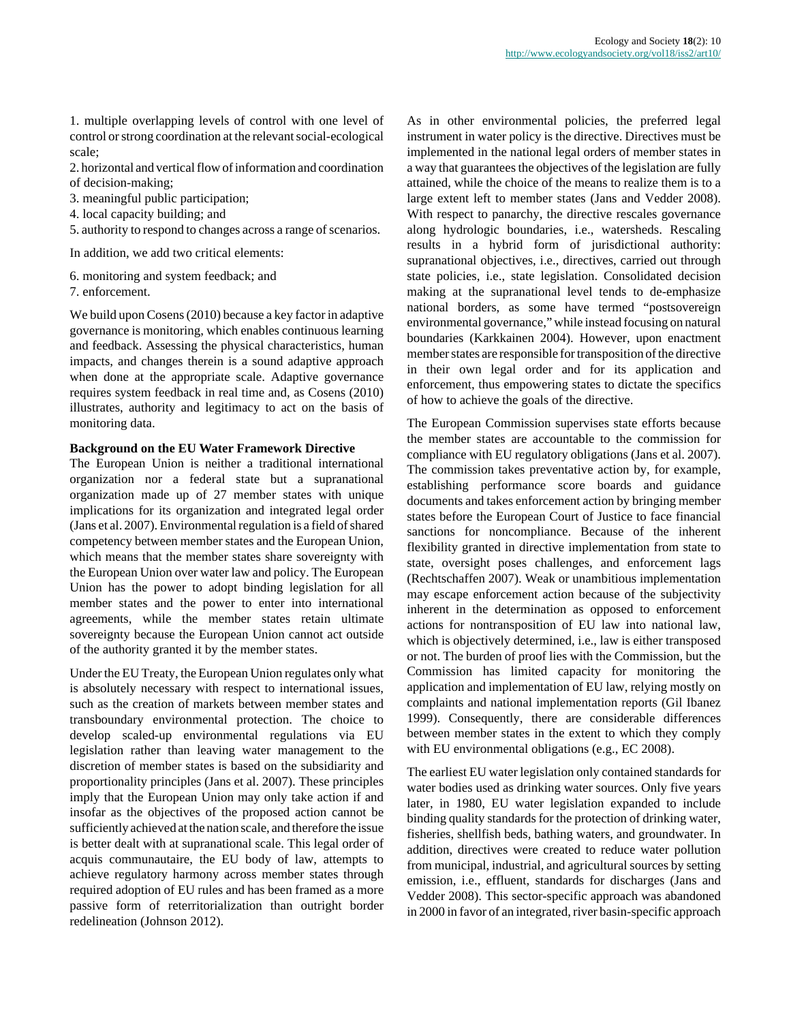1. multiple overlapping levels of control with one level of control or strong coordination at the relevant social-ecological scale;

2. horizontal and vertical flow of information and coordination of decision-making;

- 3. meaningful public participation;
- 4. local capacity building; and
- 5. authority to respond to changes across a range of scenarios.

In addition, we add two critical elements:

- 6. monitoring and system feedback; and
- 7. enforcement.

We build upon Cosens (2010) because a key factor in adaptive governance is monitoring, which enables continuous learning and feedback. Assessing the physical characteristics, human impacts, and changes therein is a sound adaptive approach when done at the appropriate scale. Adaptive governance requires system feedback in real time and, as Cosens (2010) illustrates, authority and legitimacy to act on the basis of monitoring data.

## **Background on the EU Water Framework Directive**

The European Union is neither a traditional international organization nor a federal state but a supranational organization made up of 27 member states with unique implications for its organization and integrated legal order (Jans et al. 2007). Environmental regulation is a field of shared competency between member states and the European Union, which means that the member states share sovereignty with the European Union over water law and policy. The European Union has the power to adopt binding legislation for all member states and the power to enter into international agreements, while the member states retain ultimate sovereignty because the European Union cannot act outside of the authority granted it by the member states.

Under the EU Treaty, the European Union regulates only what is absolutely necessary with respect to international issues, such as the creation of markets between member states and transboundary environmental protection. The choice to develop scaled-up environmental regulations via EU legislation rather than leaving water management to the discretion of member states is based on the subsidiarity and proportionality principles (Jans et al. 2007). These principles imply that the European Union may only take action if and insofar as the objectives of the proposed action cannot be sufficiently achieved at the nation scale, and therefore the issue is better dealt with at supranational scale. This legal order of acquis communautaire, the EU body of law, attempts to achieve regulatory harmony across member states through required adoption of EU rules and has been framed as a more passive form of reterritorialization than outright border redelineation (Johnson 2012).

As in other environmental policies, the preferred legal instrument in water policy is the directive. Directives must be implemented in the national legal orders of member states in a way that guarantees the objectives of the legislation are fully attained, while the choice of the means to realize them is to a large extent left to member states (Jans and Vedder 2008). With respect to panarchy, the directive rescales governance along hydrologic boundaries, i.e., watersheds. Rescaling results in a hybrid form of jurisdictional authority: supranational objectives, i.e., directives, carried out through state policies, i.e., state legislation. Consolidated decision making at the supranational level tends to de-emphasize national borders, as some have termed "postsovereign environmental governance," while instead focusing on natural boundaries (Karkkainen 2004). However, upon enactment member states are responsible for transposition of the directive in their own legal order and for its application and enforcement, thus empowering states to dictate the specifics of how to achieve the goals of the directive.

The European Commission supervises state efforts because the member states are accountable to the commission for compliance with EU regulatory obligations (Jans et al. 2007). The commission takes preventative action by, for example, establishing performance score boards and guidance documents and takes enforcement action by bringing member states before the European Court of Justice to face financial sanctions for noncompliance. Because of the inherent flexibility granted in directive implementation from state to state, oversight poses challenges, and enforcement lags (Rechtschaffen 2007). Weak or unambitious implementation may escape enforcement action because of the subjectivity inherent in the determination as opposed to enforcement actions for nontransposition of EU law into national law, which is objectively determined, i.e., law is either transposed or not. The burden of proof lies with the Commission, but the Commission has limited capacity for monitoring the application and implementation of EU law, relying mostly on complaints and national implementation reports (Gil Ibanez 1999). Consequently, there are considerable differences between member states in the extent to which they comply with EU environmental obligations (e.g., EC 2008).

The earliest EU water legislation only contained standards for water bodies used as drinking water sources. Only five years later, in 1980, EU water legislation expanded to include binding quality standards for the protection of drinking water, fisheries, shellfish beds, bathing waters, and groundwater. In addition, directives were created to reduce water pollution from municipal, industrial, and agricultural sources by setting emission, i.e., effluent, standards for discharges (Jans and Vedder 2008). This sector-specific approach was abandoned in 2000 in favor of an integrated, river basin-specific approach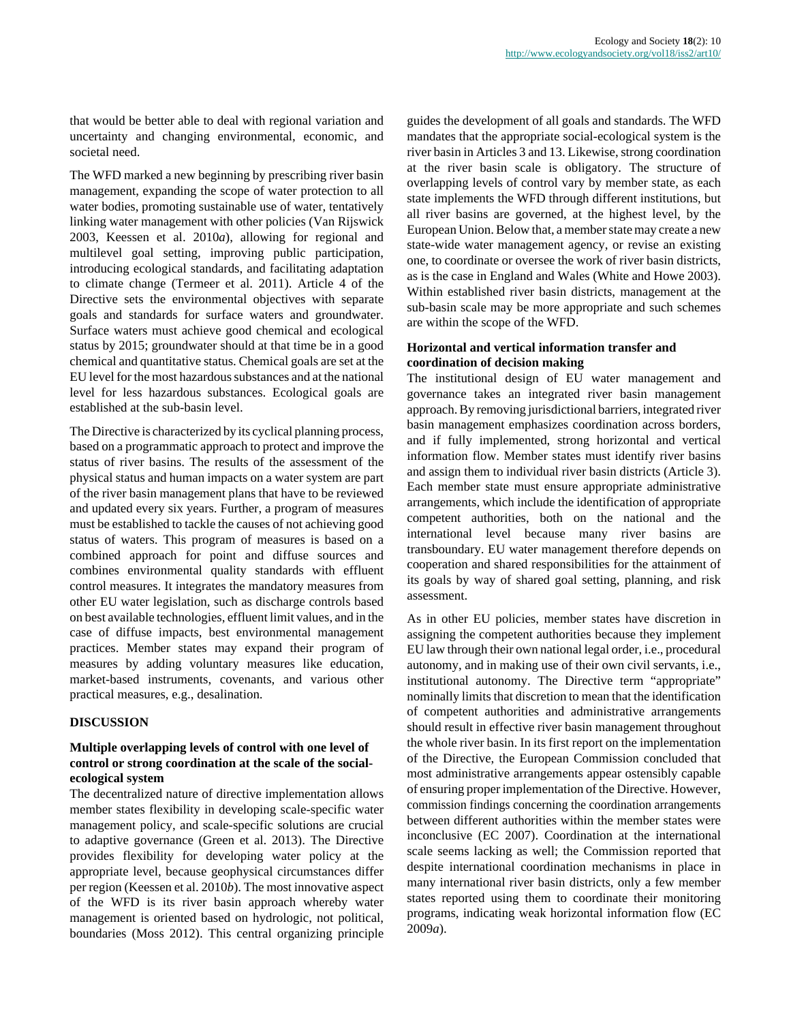that would be better able to deal with regional variation and uncertainty and changing environmental, economic, and societal need.

The WFD marked a new beginning by prescribing river basin management, expanding the scope of water protection to all water bodies, promoting sustainable use of water, tentatively linking water management with other policies (Van Rijswick 2003, Keessen et al. 2010*a*), allowing for regional and multilevel goal setting, improving public participation, introducing ecological standards, and facilitating adaptation to climate change (Termeer et al. 2011). Article 4 of the Directive sets the environmental objectives with separate goals and standards for surface waters and groundwater. Surface waters must achieve good chemical and ecological status by 2015; groundwater should at that time be in a good chemical and quantitative status. Chemical goals are set at the EU level for the most hazardous substances and at the national level for less hazardous substances. Ecological goals are established at the sub-basin level.

The Directive is characterized by its cyclical planning process, based on a programmatic approach to protect and improve the status of river basins. The results of the assessment of the physical status and human impacts on a water system are part of the river basin management plans that have to be reviewed and updated every six years. Further, a program of measures must be established to tackle the causes of not achieving good status of waters. This program of measures is based on a combined approach for point and diffuse sources and combines environmental quality standards with effluent control measures. It integrates the mandatory measures from other EU water legislation, such as discharge controls based on best available technologies, effluent limit values, and in the case of diffuse impacts, best environmental management practices. Member states may expand their program of measures by adding voluntary measures like education, market-based instruments, covenants, and various other practical measures, e.g., desalination.

## **DISCUSSION**

## **Multiple overlapping levels of control with one level of control or strong coordination at the scale of the socialecological system**

The decentralized nature of directive implementation allows member states flexibility in developing scale-specific water management policy, and scale-specific solutions are crucial to adaptive governance (Green et al. 2013). The Directive provides flexibility for developing water policy at the appropriate level, because geophysical circumstances differ per region (Keessen et al. 2010*b*). The most innovative aspect of the WFD is its river basin approach whereby water management is oriented based on hydrologic, not political, boundaries (Moss 2012). This central organizing principle guides the development of all goals and standards. The WFD mandates that the appropriate social-ecological system is the river basin in Articles 3 and 13. Likewise, strong coordination at the river basin scale is obligatory. The structure of overlapping levels of control vary by member state, as each state implements the WFD through different institutions, but all river basins are governed, at the highest level, by the European Union. Below that, a member state may create a new state-wide water management agency, or revise an existing one, to coordinate or oversee the work of river basin districts, as is the case in England and Wales (White and Howe 2003). Within established river basin districts, management at the sub-basin scale may be more appropriate and such schemes are within the scope of the WFD.

## **Horizontal and vertical information transfer and coordination of decision making**

The institutional design of EU water management and governance takes an integrated river basin management approach. By removing jurisdictional barriers, integrated river basin management emphasizes coordination across borders, and if fully implemented, strong horizontal and vertical information flow. Member states must identify river basins and assign them to individual river basin districts (Article 3). Each member state must ensure appropriate administrative arrangements, which include the identification of appropriate competent authorities, both on the national and the international level because many river basins are transboundary. EU water management therefore depends on cooperation and shared responsibilities for the attainment of its goals by way of shared goal setting, planning, and risk assessment.

As in other EU policies, member states have discretion in assigning the competent authorities because they implement EU law through their own national legal order, i.e., procedural autonomy, and in making use of their own civil servants, i.e., institutional autonomy. The Directive term "appropriate" nominally limits that discretion to mean that the identification of competent authorities and administrative arrangements should result in effective river basin management throughout the whole river basin. In its first report on the implementation of the Directive, the European Commission concluded that most administrative arrangements appear ostensibly capable of ensuring proper implementation of the Directive. However, commission findings concerning the coordination arrangements between different authorities within the member states were inconclusive (EC 2007). Coordination at the international scale seems lacking as well; the Commission reported that despite international coordination mechanisms in place in many international river basin districts, only a few member states reported using them to coordinate their monitoring programs, indicating weak horizontal information flow (EC 2009*a*).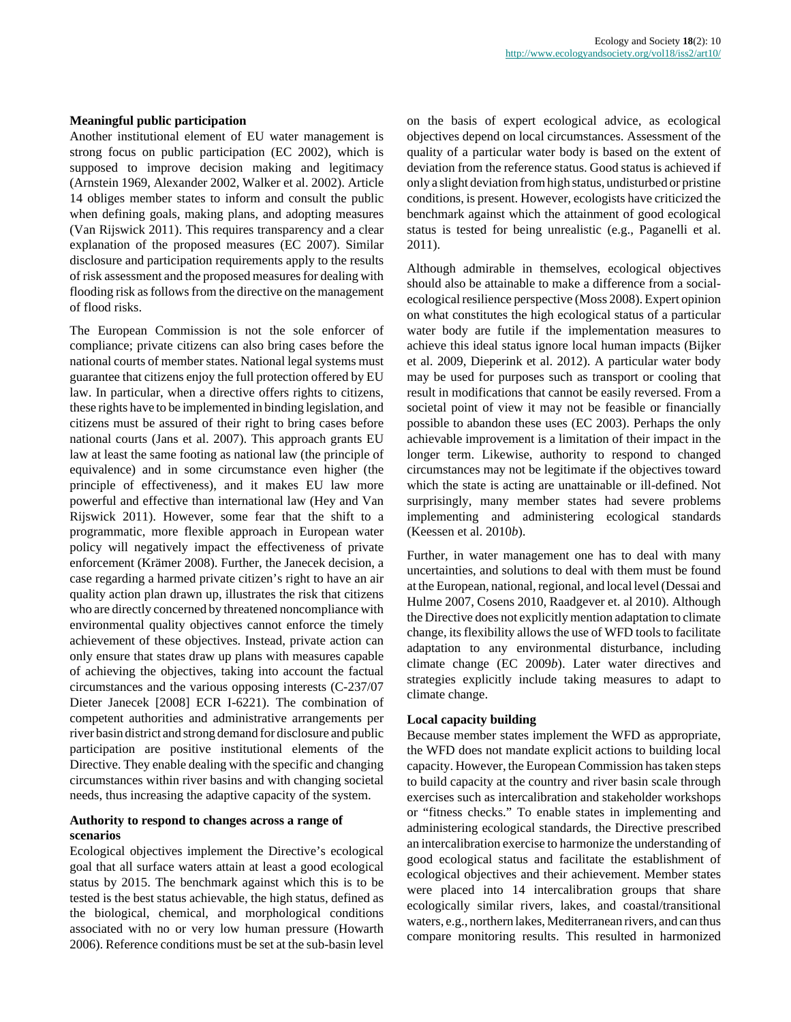#### **Meaningful public participation**

Another institutional element of EU water management is strong focus on public participation (EC 2002), which is supposed to improve decision making and legitimacy (Arnstein 1969, Alexander 2002, Walker et al. 2002). Article 14 obliges member states to inform and consult the public when defining goals, making plans, and adopting measures (Van Rijswick 2011). This requires transparency and a clear explanation of the proposed measures (EC 2007). Similar disclosure and participation requirements apply to the results of risk assessment and the proposed measures for dealing with flooding risk as follows from the directive on the management of flood risks.

The European Commission is not the sole enforcer of compliance; private citizens can also bring cases before the national courts of member states. National legal systems must guarantee that citizens enjoy the full protection offered by EU law. In particular, when a directive offers rights to citizens, these rights have to be implemented in binding legislation, and citizens must be assured of their right to bring cases before national courts (Jans et al. 2007). This approach grants EU law at least the same footing as national law (the principle of equivalence) and in some circumstance even higher (the principle of effectiveness), and it makes EU law more powerful and effective than international law (Hey and Van Rijswick 2011). However, some fear that the shift to a programmatic, more flexible approach in European water policy will negatively impact the effectiveness of private enforcement (Krämer 2008). Further, the Janecek decision, a case regarding a harmed private citizen's right to have an air quality action plan drawn up, illustrates the risk that citizens who are directly concerned by threatened noncompliance with environmental quality objectives cannot enforce the timely achievement of these objectives. Instead, private action can only ensure that states draw up plans with measures capable of achieving the objectives, taking into account the factual circumstances and the various opposing interests (C-237/07 Dieter Janecek [2008] ECR I-6221). The combination of competent authorities and administrative arrangements per river basin district and strong demand for disclosure and public participation are positive institutional elements of the Directive. They enable dealing with the specific and changing circumstances within river basins and with changing societal needs, thus increasing the adaptive capacity of the system.

#### **Authority to respond to changes across a range of scenarios**

Ecological objectives implement the Directive's ecological goal that all surface waters attain at least a good ecological status by 2015. The benchmark against which this is to be tested is the best status achievable, the high status, defined as the biological, chemical, and morphological conditions associated with no or very low human pressure (Howarth 2006). Reference conditions must be set at the sub-basin level on the basis of expert ecological advice, as ecological objectives depend on local circumstances. Assessment of the quality of a particular water body is based on the extent of deviation from the reference status. Good status is achieved if only a slight deviation from high status, undisturbed or pristine conditions, is present. However, ecologists have criticized the benchmark against which the attainment of good ecological status is tested for being unrealistic (e.g., Paganelli et al. 2011).

Although admirable in themselves, ecological objectives should also be attainable to make a difference from a socialecological resilience perspective (Moss 2008). Expert opinion on what constitutes the high ecological status of a particular water body are futile if the implementation measures to achieve this ideal status ignore local human impacts (Bijker et al. 2009, Dieperink et al. 2012). A particular water body may be used for purposes such as transport or cooling that result in modifications that cannot be easily reversed. From a societal point of view it may not be feasible or financially possible to abandon these uses (EC 2003). Perhaps the only achievable improvement is a limitation of their impact in the longer term. Likewise, authority to respond to changed circumstances may not be legitimate if the objectives toward which the state is acting are unattainable or ill-defined. Not surprisingly, many member states had severe problems implementing and administering ecological standards (Keessen et al. 2010*b*).

Further, in water management one has to deal with many uncertainties, and solutions to deal with them must be found at the European, national, regional, and local level (Dessai and Hulme 2007, Cosens 2010, Raadgever et. al 2010). Although the Directive does not explicitly mention adaptation to climate change, its flexibility allows the use of WFD tools to facilitate adaptation to any environmental disturbance, including climate change (EC 2009*b*). Later water directives and strategies explicitly include taking measures to adapt to climate change.

#### **Local capacity building**

Because member states implement the WFD as appropriate, the WFD does not mandate explicit actions to building local capacity. However, the European Commission has taken steps to build capacity at the country and river basin scale through exercises such as intercalibration and stakeholder workshops or "fitness checks." To enable states in implementing and administering ecological standards, the Directive prescribed an intercalibration exercise to harmonize the understanding of good ecological status and facilitate the establishment of ecological objectives and their achievement. Member states were placed into 14 intercalibration groups that share ecologically similar rivers, lakes, and coastal/transitional waters, e.g., northern lakes, Mediterranean rivers, and can thus compare monitoring results. This resulted in harmonized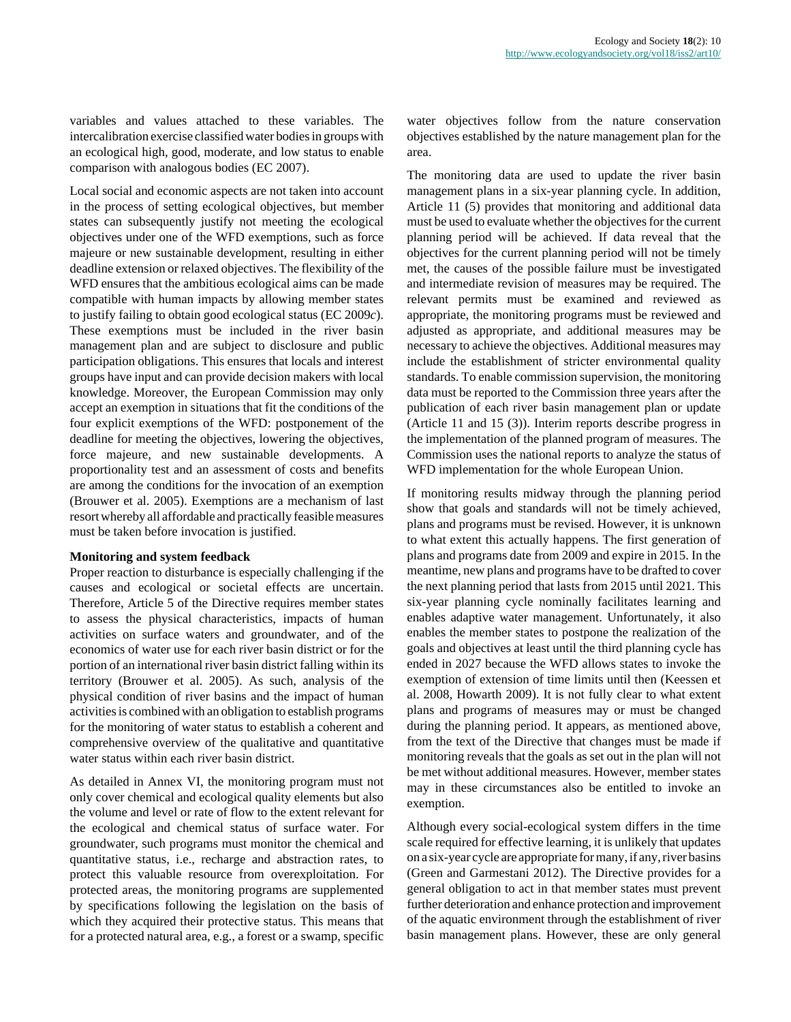variables and values attached to these variables. The intercalibration exercise classified water bodies in groups with an ecological high, good, moderate, and low status to enable comparison with analogous bodies (EC 2007).

Local social and economic aspects are not taken into account in the process of setting ecological objectives, but member states can subsequently justify not meeting the ecological objectives under one of the WFD exemptions, such as force majeure or new sustainable development, resulting in either deadline extension or relaxed objectives. The flexibility of the WFD ensures that the ambitious ecological aims can be made compatible with human impacts by allowing member states to justify failing to obtain good ecological status (EC 2009*c*). These exemptions must be included in the river basin management plan and are subject to disclosure and public participation obligations. This ensures that locals and interest groups have input and can provide decision makers with local knowledge. Moreover, the European Commission may only accept an exemption in situations that fit the conditions of the four explicit exemptions of the WFD: postponement of the deadline for meeting the objectives, lowering the objectives, force majeure, and new sustainable developments. A proportionality test and an assessment of costs and benefits are among the conditions for the invocation of an exemption (Brouwer et al. 2005). Exemptions are a mechanism of last resort whereby all affordable and practically feasible measures must be taken before invocation is justified.

## **Monitoring and system feedback**

Proper reaction to disturbance is especially challenging if the causes and ecological or societal effects are uncertain. Therefore, Article 5 of the Directive requires member states to assess the physical characteristics, impacts of human activities on surface waters and groundwater, and of the economics of water use for each river basin district or for the portion of an international river basin district falling within its territory (Brouwer et al. 2005). As such, analysis of the physical condition of river basins and the impact of human activities is combined with an obligation to establish programs for the monitoring of water status to establish a coherent and comprehensive overview of the qualitative and quantitative water status within each river basin district.

As detailed in Annex VI, the monitoring program must not only cover chemical and ecological quality elements but also the volume and level or rate of flow to the extent relevant for the ecological and chemical status of surface water. For groundwater, such programs must monitor the chemical and quantitative status, i.e., recharge and abstraction rates, to protect this valuable resource from overexploitation. For protected areas, the monitoring programs are supplemented by specifications following the legislation on the basis of which they acquired their protective status. This means that for a protected natural area, e.g., a forest or a swamp, specific water objectives follow from the nature conservation objectives established by the nature management plan for the area.

The monitoring data are used to update the river basin management plans in a six-year planning cycle. In addition, Article 11 (5) provides that monitoring and additional data must be used to evaluate whether the objectives for the current planning period will be achieved. If data reveal that the objectives for the current planning period will not be timely met, the causes of the possible failure must be investigated and intermediate revision of measures may be required. The relevant permits must be examined and reviewed as appropriate, the monitoring programs must be reviewed and adjusted as appropriate, and additional measures may be necessary to achieve the objectives. Additional measures may include the establishment of stricter environmental quality standards. To enable commission supervision, the monitoring data must be reported to the Commission three years after the publication of each river basin management plan or update (Article 11 and 15 (3)). Interim reports describe progress in the implementation of the planned program of measures. The Commission uses the national reports to analyze the status of WFD implementation for the whole European Union.

If monitoring results midway through the planning period show that goals and standards will not be timely achieved, plans and programs must be revised. However, it is unknown to what extent this actually happens. The first generation of plans and programs date from 2009 and expire in 2015. In the meantime, new plans and programs have to be drafted to cover the next planning period that lasts from 2015 until 2021. This six-year planning cycle nominally facilitates learning and enables adaptive water management. Unfortunately, it also enables the member states to postpone the realization of the goals and objectives at least until the third planning cycle has ended in 2027 because the WFD allows states to invoke the exemption of extension of time limits until then (Keessen et al. 2008, Howarth 2009). It is not fully clear to what extent plans and programs of measures may or must be changed during the planning period. It appears, as mentioned above, from the text of the Directive that changes must be made if monitoring reveals that the goals as set out in the plan will not be met without additional measures. However, member states may in these circumstances also be entitled to invoke an exemption.

Although every social-ecological system differs in the time scale required for effective learning, it is unlikely that updates on a six-year cycle are appropriate for many, if any, river basins (Green and Garmestani 2012). The Directive provides for a general obligation to act in that member states must prevent further deterioration and enhance protection and improvement of the aquatic environment through the establishment of river basin management plans. However, these are only general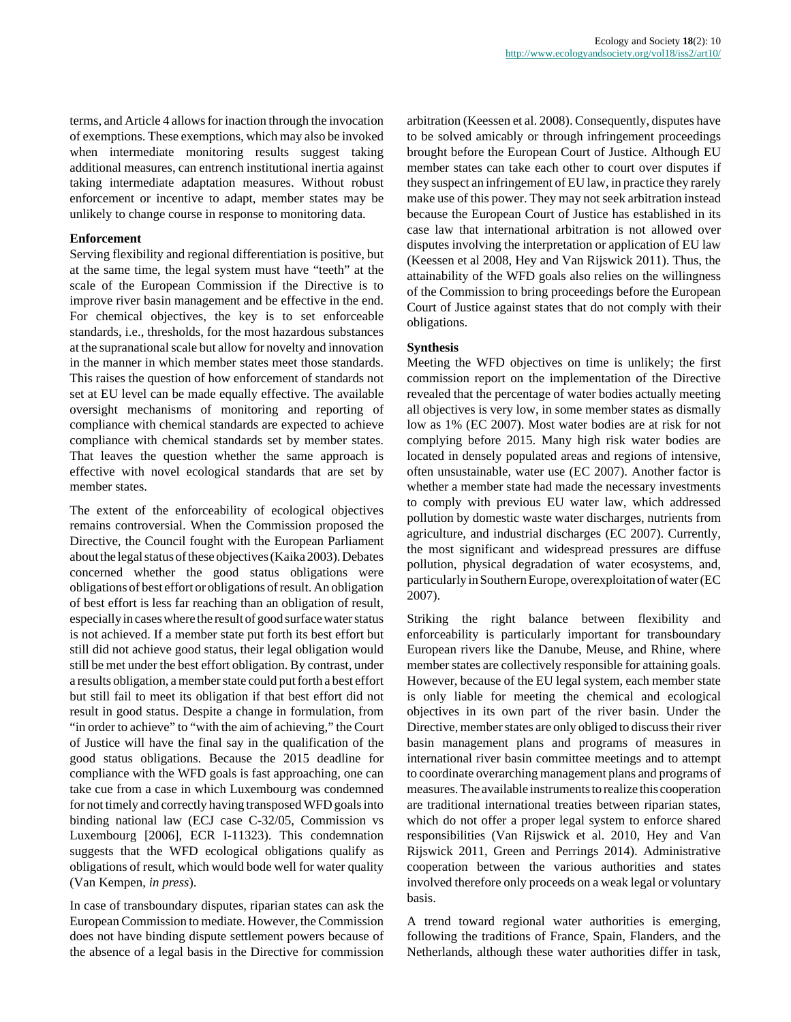terms, and Article 4 allows for inaction through the invocation of exemptions. These exemptions, which may also be invoked when intermediate monitoring results suggest taking additional measures, can entrench institutional inertia against taking intermediate adaptation measures. Without robust enforcement or incentive to adapt, member states may be unlikely to change course in response to monitoring data.

## **Enforcement**

Serving flexibility and regional differentiation is positive, but at the same time, the legal system must have "teeth" at the scale of the European Commission if the Directive is to improve river basin management and be effective in the end. For chemical objectives, the key is to set enforceable standards, i.e., thresholds, for the most hazardous substances at the supranational scale but allow for novelty and innovation in the manner in which member states meet those standards. This raises the question of how enforcement of standards not set at EU level can be made equally effective. The available oversight mechanisms of monitoring and reporting of compliance with chemical standards are expected to achieve compliance with chemical standards set by member states. That leaves the question whether the same approach is effective with novel ecological standards that are set by member states.

The extent of the enforceability of ecological objectives remains controversial. When the Commission proposed the Directive, the Council fought with the European Parliament about the legal status of these objectives (Kaika 2003). Debates concerned whether the good status obligations were obligations of best effort or obligations of result. An obligation of best effort is less far reaching than an obligation of result, especially in cases where the result of good surface water status is not achieved. If a member state put forth its best effort but still did not achieve good status, their legal obligation would still be met under the best effort obligation. By contrast, under a results obligation, a member state could put forth a best effort but still fail to meet its obligation if that best effort did not result in good status. Despite a change in formulation, from "in order to achieve" to "with the aim of achieving," the Court of Justice will have the final say in the qualification of the good status obligations. Because the 2015 deadline for compliance with the WFD goals is fast approaching, one can take cue from a case in which Luxembourg was condemned for not timely and correctly having transposed WFD goals into binding national law (ECJ case C-32/05, Commission vs Luxembourg [2006], ECR I-11323). This condemnation suggests that the WFD ecological obligations qualify as obligations of result, which would bode well for water quality (Van Kempen, *in press*).

In case of transboundary disputes, riparian states can ask the European Commission to mediate. However, the Commission does not have binding dispute settlement powers because of the absence of a legal basis in the Directive for commission arbitration (Keessen et al. 2008). Consequently, disputes have to be solved amicably or through infringement proceedings brought before the European Court of Justice. Although EU member states can take each other to court over disputes if they suspect an infringement of EU law, in practice they rarely make use of this power. They may not seek arbitration instead because the European Court of Justice has established in its case law that international arbitration is not allowed over disputes involving the interpretation or application of EU law (Keessen et al 2008, Hey and Van Rijswick 2011). Thus, the attainability of the WFD goals also relies on the willingness of the Commission to bring proceedings before the European Court of Justice against states that do not comply with their obligations.

# **Synthesis**

Meeting the WFD objectives on time is unlikely; the first commission report on the implementation of the Directive revealed that the percentage of water bodies actually meeting all objectives is very low, in some member states as dismally low as 1% (EC 2007). Most water bodies are at risk for not complying before 2015. Many high risk water bodies are located in densely populated areas and regions of intensive, often unsustainable, water use (EC 2007). Another factor is whether a member state had made the necessary investments to comply with previous EU water law, which addressed pollution by domestic waste water discharges, nutrients from agriculture, and industrial discharges (EC 2007). Currently, the most significant and widespread pressures are diffuse pollution, physical degradation of water ecosystems, and, particularly in Southern Europe, overexploitation of water (EC 2007).

Striking the right balance between flexibility and enforceability is particularly important for transboundary European rivers like the Danube, Meuse, and Rhine, where member states are collectively responsible for attaining goals. However, because of the EU legal system, each member state is only liable for meeting the chemical and ecological objectives in its own part of the river basin. Under the Directive, member states are only obliged to discuss their river basin management plans and programs of measures in international river basin committee meetings and to attempt to coordinate overarching management plans and programs of measures. The available instruments to realize this cooperation are traditional international treaties between riparian states, which do not offer a proper legal system to enforce shared responsibilities (Van Rijswick et al. 2010, Hey and Van Rijswick 2011, Green and Perrings 2014). Administrative cooperation between the various authorities and states involved therefore only proceeds on a weak legal or voluntary basis.

A trend toward regional water authorities is emerging, following the traditions of France, Spain, Flanders, and the Netherlands, although these water authorities differ in task,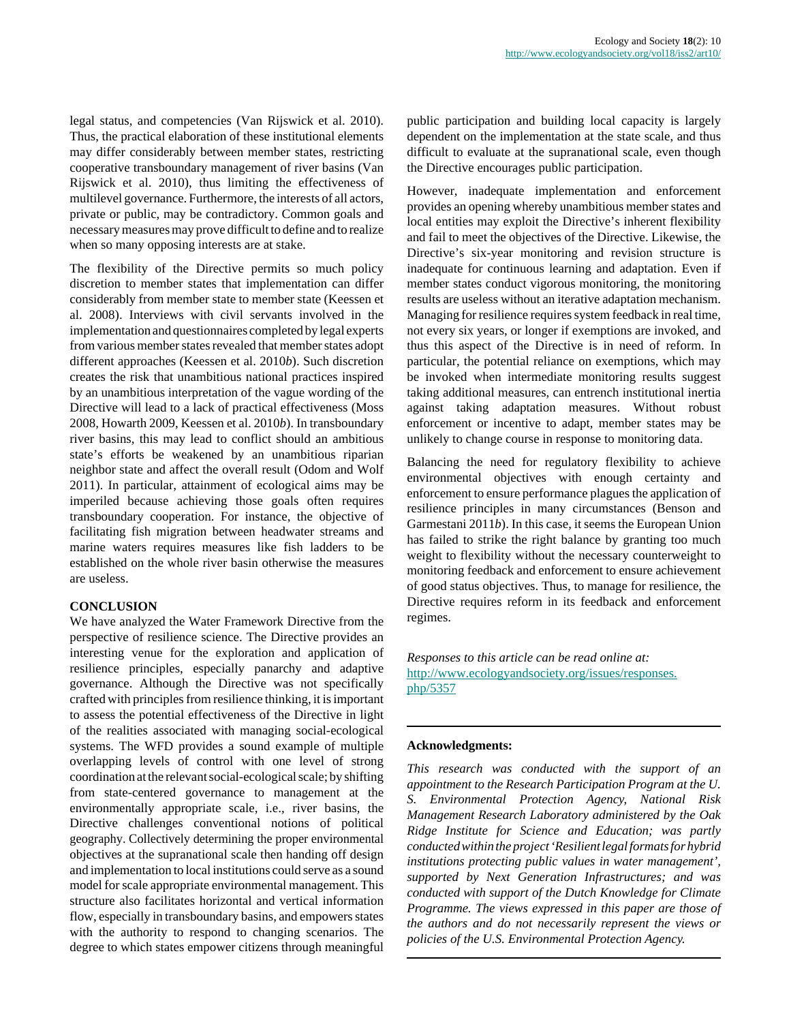legal status, and competencies (Van Rijswick et al. 2010). Thus, the practical elaboration of these institutional elements may differ considerably between member states, restricting cooperative transboundary management of river basins (Van Rijswick et al. 2010), thus limiting the effectiveness of multilevel governance. Furthermore, the interests of all actors, private or public, may be contradictory. Common goals and necessary measures may prove difficult to define and to realize when so many opposing interests are at stake.

The flexibility of the Directive permits so much policy discretion to member states that implementation can differ considerably from member state to member state (Keessen et al. 2008). Interviews with civil servants involved in the implementation and questionnaires completed by legal experts from various member states revealed that member states adopt different approaches (Keessen et al. 2010*b*). Such discretion creates the risk that unambitious national practices inspired by an unambitious interpretation of the vague wording of the Directive will lead to a lack of practical effectiveness (Moss 2008, Howarth 2009, Keessen et al. 2010*b*). In transboundary river basins, this may lead to conflict should an ambitious state's efforts be weakened by an unambitious riparian neighbor state and affect the overall result (Odom and Wolf 2011). In particular, attainment of ecological aims may be imperiled because achieving those goals often requires transboundary cooperation. For instance, the objective of facilitating fish migration between headwater streams and marine waters requires measures like fish ladders to be established on the whole river basin otherwise the measures are useless.

# **CONCLUSION**

We have analyzed the Water Framework Directive from the perspective of resilience science. The Directive provides an interesting venue for the exploration and application of resilience principles, especially panarchy and adaptive governance. Although the Directive was not specifically crafted with principles from resilience thinking, it is important to assess the potential effectiveness of the Directive in light of the realities associated with managing social-ecological systems. The WFD provides a sound example of multiple overlapping levels of control with one level of strong coordination at the relevant social-ecological scale; by shifting from state-centered governance to management at the environmentally appropriate scale, i.e., river basins, the Directive challenges conventional notions of political geography. Collectively determining the proper environmental objectives at the supranational scale then handing off design and implementation to local institutions could serve as a sound model for scale appropriate environmental management. This structure also facilitates horizontal and vertical information flow, especially in transboundary basins, and empowers states with the authority to respond to changing scenarios. The degree to which states empower citizens through meaningful

public participation and building local capacity is largely dependent on the implementation at the state scale, and thus difficult to evaluate at the supranational scale, even though the Directive encourages public participation.

However, inadequate implementation and enforcement provides an opening whereby unambitious member states and local entities may exploit the Directive's inherent flexibility and fail to meet the objectives of the Directive. Likewise, the Directive's six-year monitoring and revision structure is inadequate for continuous learning and adaptation. Even if member states conduct vigorous monitoring, the monitoring results are useless without an iterative adaptation mechanism. Managing for resilience requires system feedback in real time, not every six years, or longer if exemptions are invoked, and thus this aspect of the Directive is in need of reform. In particular, the potential reliance on exemptions, which may be invoked when intermediate monitoring results suggest taking additional measures, can entrench institutional inertia against taking adaptation measures. Without robust enforcement or incentive to adapt, member states may be unlikely to change course in response to monitoring data.

Balancing the need for regulatory flexibility to achieve environmental objectives with enough certainty and enforcement to ensure performance plagues the application of resilience principles in many circumstances (Benson and Garmestani 2011*b*). In this case, it seems the European Union has failed to strike the right balance by granting too much weight to flexibility without the necessary counterweight to monitoring feedback and enforcement to ensure achievement of good status objectives. Thus, to manage for resilience, the Directive requires reform in its feedback and enforcement regimes.

*Responses to this article can be read online at:* [http://www.ecologyandsociety.org/issues/responses.](http://www.ecologyandsociety.org/issues/responses.php/5357) [php/5357](http://www.ecologyandsociety.org/issues/responses.php/5357)

# **Acknowledgments:**

*This research was conducted with the support of an appointment to the Research Participation Program at the U. S. Environmental Protection Agency, National Risk Management Research Laboratory administered by the Oak Ridge Institute for Science and Education; was partly conducted within the project 'Resilient legal formats for hybrid institutions protecting public values in water management', supported by Next Generation Infrastructures; and was conducted with support of the Dutch Knowledge for Climate Programme. The views expressed in this paper are those of the authors and do not necessarily represent the views or policies of the U.S. Environmental Protection Agency.*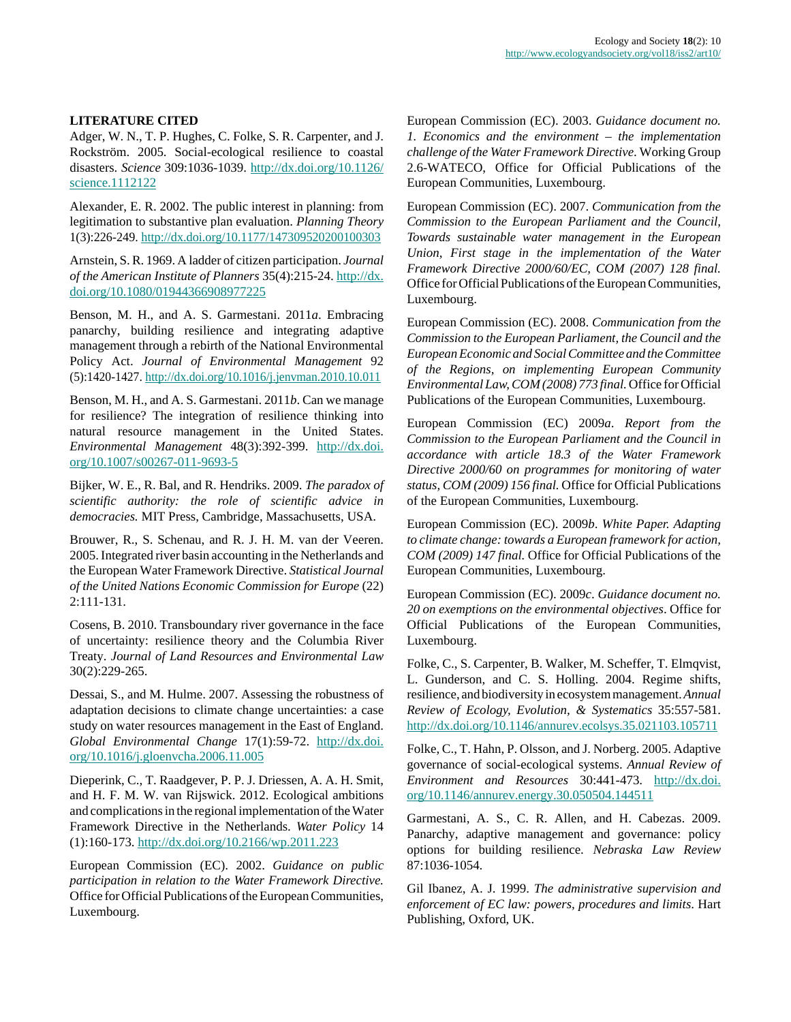# **LITERATURE CITED**

Adger, W. N., T. P. Hughes, C. Folke, S. R. Carpenter, and J. Rockström. 2005. Social-ecological resilience to coastal disasters. *Science* 309:1036-1039. [http://dx.doi.org/10.1126/](http://dx.doi.org/10.1126/science.1112122) [science.1112122](http://dx.doi.org/10.1126/science.1112122) 

Alexander, E. R. 2002. The public interest in planning: from legitimation to substantive plan evaluation. *Planning Theory* 1(3):226-249.<http://dx.doi.org/10.1177/147309520200100303>

Arnstein, S. R. 1969. A ladder of citizen participation. *Journal of the American Institute of Planners* 35(4):215-24. [http://dx.](http://dx.doi.org/10.1080/01944366908977225) [doi.org/10.1080/01944366908977225](http://dx.doi.org/10.1080/01944366908977225)

Benson, M. H., and A. S. Garmestani. 2011*a*. Embracing panarchy, building resilience and integrating adaptive management through a rebirth of the National Environmental Policy Act. *Journal of Environmental Management* 92 (5):1420-1427. <http://dx.doi.org/10.1016/j.jenvman.2010.10.011>

Benson, M. H., and A. S. Garmestani. 2011*b*. Can we manage for resilience? The integration of resilience thinking into natural resource management in the United States. *Environmental Management* 48(3):392-399. [http://dx.doi.](http://dx.doi.org/10.1007/s00267-011-9693-5) [org/10.1007/s00267-011-9693-5](http://dx.doi.org/10.1007/s00267-011-9693-5)

Bijker, W. E., R. Bal, and R. Hendriks. 2009. *The paradox of scientific authority: the role of scientific advice in democracies.* MIT Press, Cambridge, Massachusetts, USA.

Brouwer, R., S. Schenau, and R. J. H. M. van der Veeren. 2005. Integrated river basin accounting in the Netherlands and the European Water Framework Directive. *Statistical Journal of the United Nations Economic Commission for Europe* (22) 2:111-131.

Cosens, B. 2010. Transboundary river governance in the face of uncertainty: resilience theory and the Columbia River Treaty. *Journal of Land Resources and Environmental Law* 30(2):229-265.

Dessai, S., and M. Hulme. 2007. Assessing the robustness of adaptation decisions to climate change uncertainties: a case study on water resources management in the East of England. *Global Environmental Change* 17(1):59-72. [http://dx.doi.](http://dx.doi.org/10.1016/j.gloenvcha.2006.11.005) [org/10.1016/j.gloenvcha.2006.11.005](http://dx.doi.org/10.1016/j.gloenvcha.2006.11.005)

Dieperink, C., T. Raadgever, P. P. J. Driessen, A. A. H. Smit, and H. F. M. W. van Rijswick. 2012. Ecological ambitions and complications in the regional implementation of the Water Framework Directive in the Netherlands. *Water Policy* 14 (1):160-173. <http://dx.doi.org/10.2166/wp.2011.223>

European Commission (EC). 2002. *Guidance on public participation in relation to the Water Framework Directive.* Office for Official Publications of the European Communities, Luxembourg.

European Commission (EC). 2003. *Guidance document no. 1. Economics and the environment – the implementation challenge of the Water Framework Directive*. Working Group 2.6-WATECO, Office for Official Publications of the European Communities, Luxembourg.

European Commission (EC). 2007. *Communication from the Commission to the European Parliament and the Council, Towards sustainable water management in the European Union, First stage in the implementation of the Water Framework Directive 2000/60/EC, COM (2007) 128 final.* Office for Official Publications of the European Communities, Luxembourg.

European Commission (EC). 2008. *Communication from the Commission to the European Parliament, the Council and the European Economic and Social Committee and the Committee of the Regions, on implementing European Community Environmental Law, COM (2008) 773 final.* Office for Official Publications of the European Communities, Luxembourg.

European Commission (EC) 2009*a*. *Report from the Commission to the European Parliament and the Council in accordance with article 18.3 of the Water Framework Directive 2000/60 on programmes for monitoring of water status, COM (2009) 156 final.* Office for Official Publications of the European Communities, Luxembourg.

European Commission (EC). 2009*b*. *White Paper. Adapting to climate change: towards a European framework for action, COM (2009) 147 final.* Office for Official Publications of the European Communities, Luxembourg.

European Commission (EC). 2009*c*. *Guidance document no. 20 on exemptions on the environmental objectives*. Office for Official Publications of the European Communities, Luxembourg.

Folke, C., S. Carpenter, B. Walker, M. Scheffer, T. Elmqvist, L. Gunderson, and C. S. Holling. 2004. Regime shifts, resilience, and biodiversity in ecosystem management. *Annual Review of Ecology, Evolution, & Systematics* 35:557-581. <http://dx.doi.org/10.1146/annurev.ecolsys.35.021103.105711>

Folke, C., T. Hahn, P. Olsson, and J. Norberg. 2005. Adaptive governance of social-ecological systems. *Annual Review of Environment and Resources* 30:441-473. [http://dx.doi.](http://dx.doi.org/10.1146/annurev.energy.30.050504.144511) [org/10.1146/annurev.energy.30.050504.144511](http://dx.doi.org/10.1146/annurev.energy.30.050504.144511) 

Garmestani, A. S., C. R. Allen, and H. Cabezas. 2009. Panarchy, adaptive management and governance: policy options for building resilience. *Nebraska Law Review* 87:1036-1054.

Gil Ibanez, A. J. 1999. *The administrative supervision and enforcement of EC law: powers, procedures and limits*. Hart Publishing, Oxford, UK.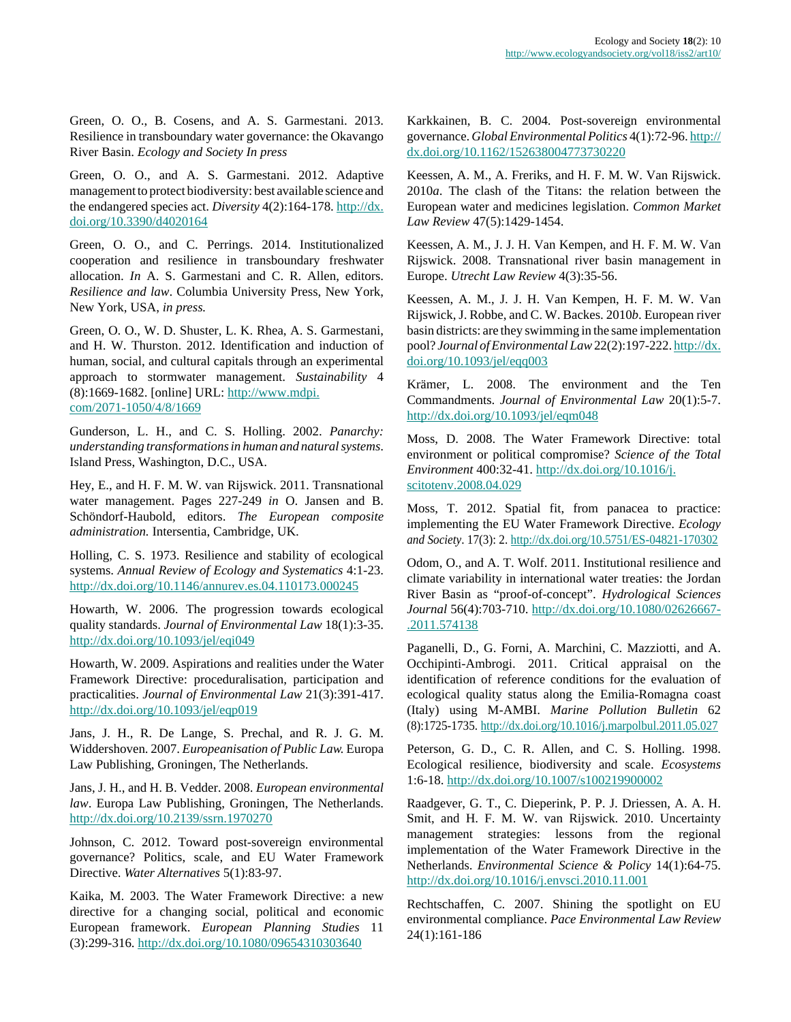Green, O. O., B. Cosens, and A. S. Garmestani. 2013. Resilience in transboundary water governance: the Okavango River Basin. *Ecology and Society In press*

Green, O. O., and A. S. Garmestani. 2012. Adaptive management to protect biodiversity: best available science and the endangered species act. *Diversity* 4(2):164-178. [http://dx.](http://dx.doi.org/10.3390/d4020164) [doi.org/10.3390/d4020164](http://dx.doi.org/10.3390/d4020164)

Green, O. O., and C. Perrings. 2014. Institutionalized cooperation and resilience in transboundary freshwater allocation. *In* A. S. Garmestani and C. R. Allen, editors. *Resilience and law*. Columbia University Press, New York, New York, USA, *in press.*

Green, O. O., W. D. Shuster, L. K. Rhea, A. S. Garmestani, and H. W. Thurston. 2012. Identification and induction of human, social, and cultural capitals through an experimental approach to stormwater management. *Sustainability* 4 (8):1669-1682. [online] URL: [http://www.mdpi.](http://www.mdpi.com/2071-1050/4/8/1669) [com/2071-1050/4/8/1669](http://www.mdpi.com/2071-1050/4/8/1669)

Gunderson, L. H., and C. S. Holling. 2002. *Panarchy: understanding transformations in human and natural systems*. Island Press, Washington, D.C., USA.

Hey, E., and H. F. M. W. van Rijswick. 2011. Transnational water management. Pages 227-249 *in* O. Jansen and B. Schöndorf-Haubold, editors. *The European composite administration.* Intersentia, Cambridge, UK.

Holling, C. S. 1973. Resilience and stability of ecological systems. *Annual Review of Ecology and Systematics* 4:1-23. <http://dx.doi.org/10.1146/annurev.es.04.110173.000245>

Howarth, W. 2006. The progression towards ecological quality standards. *Journal of Environmental Law* 18(1):3-35. <http://dx.doi.org/10.1093/jel/eqi049>

Howarth, W. 2009. Aspirations and realities under the Water Framework Directive: proceduralisation, participation and practicalities. *Journal of Environmental Law* 21(3):391-417. <http://dx.doi.org/10.1093/jel/eqp019>

Jans, J. H., R. De Lange, S. Prechal, and R. J. G. M. Widdershoven. 2007. *Europeanisation of Public Law.* Europa Law Publishing, Groningen, The Netherlands.

Jans, J. H., and H. B. Vedder. 2008. *European environmental law*. Europa Law Publishing, Groningen, The Netherlands. <http://dx.doi.org/10.2139/ssrn.1970270>

Johnson, C. 2012. Toward post-sovereign environmental governance? Politics, scale, and EU Water Framework Directive. *Water Alternatives* 5(1):83-97.

Kaika, M. 2003. The Water Framework Directive: a new directive for a changing social, political and economic European framework. *European Planning Studies* 11 (3):299-316. <http://dx.doi.org/10.1080/09654310303640>

Karkkainen, B. C. 2004. Post-sovereign environmental governance. *Global Environmental Politics* 4(1):72-96. [http://](http://dx.doi.org/10.1162/152638004773730220) [dx.doi.org/10.1162/152638004773730220](http://dx.doi.org/10.1162/152638004773730220)

Keessen, A. M., A. Freriks, and H. F. M. W. Van Rijswick. 2010*a*. The clash of the Titans: the relation between the European water and medicines legislation. *Common Market Law Review* 47(5):1429-1454.

Keessen, A. M., J. J. H. Van Kempen, and H. F. M. W. Van Rijswick. 2008. Transnational river basin management in Europe. *Utrecht Law Review* 4(3):35-56.

Keessen, A. M., J. J. H. Van Kempen, H. F. M. W. Van Rijswick, J. Robbe, and C. W. Backes. 2010*b*. European river basin districts: are they swimming in the same implementation pool? *Journal of Environmental Law* 22(2):197-222. [http://dx.](http://dx.doi.org/10.1093/jel/eqq003) [doi.org/10.1093/jel/eqq003](http://dx.doi.org/10.1093/jel/eqq003) 

Krämer, L. 2008. The environment and the Ten Commandments. *Journal of Environmental Law* 20(1):5-7. <http://dx.doi.org/10.1093/jel/eqm048>

Moss, D. 2008. The Water Framework Directive: total environment or political compromise? *Science of the Total Environment* 400:32-41. [http://dx.doi.org/10.1016/j.](http://dx.doi.org/10.1016/j.scitotenv.2008.04.029) [scitotenv.2008.04.029](http://dx.doi.org/10.1016/j.scitotenv.2008.04.029)

Moss, T. 2012. Spatial fit, from panacea to practice: implementing the EU Water Framework Directive. *Ecology and Society*. 17(3): 2.<http://dx.doi.org/10.5751/ES-04821-170302>

Odom, O., and A. T. Wolf. 2011. Institutional resilience and climate variability in international water treaties: the Jordan River Basin as "proof-of-concept". *Hydrological Sciences Journal* 56(4):703-710. [http://dx.doi.org/10.1080/02626667-](http://dx.doi.org/10.1080/02626667.2011.574138) [.2011.574138](http://dx.doi.org/10.1080/02626667.2011.574138)

Paganelli, D., G. Forni, A. Marchini, C. Mazziotti, and A. Occhipinti-Ambrogi. 2011. Critical appraisal on the identification of reference conditions for the evaluation of ecological quality status along the Emilia-Romagna coast (Italy) using M-AMBI. *Marine Pollution Bulletin* 62 (8):1725-1735.<http://dx.doi.org/10.1016/j.marpolbul.2011.05.027>

Peterson, G. D., C. R. Allen, and C. S. Holling. 1998. Ecological resilience, biodiversity and scale. *Ecosystems* 1:6-18.<http://dx.doi.org/10.1007/s100219900002>

Raadgever, G. T., C. Dieperink, P. P. J. Driessen, A. A. H. Smit, and H. F. M. W. van Rijswick. 2010. Uncertainty management strategies: lessons from the regional implementation of the Water Framework Directive in the Netherlands. *Environmental Science & Policy* 14(1):64-75. <http://dx.doi.org/10.1016/j.envsci.2010.11.001>

Rechtschaffen, C. 2007. Shining the spotlight on EU environmental compliance. *Pace Environmental Law Review* 24(1):161-186